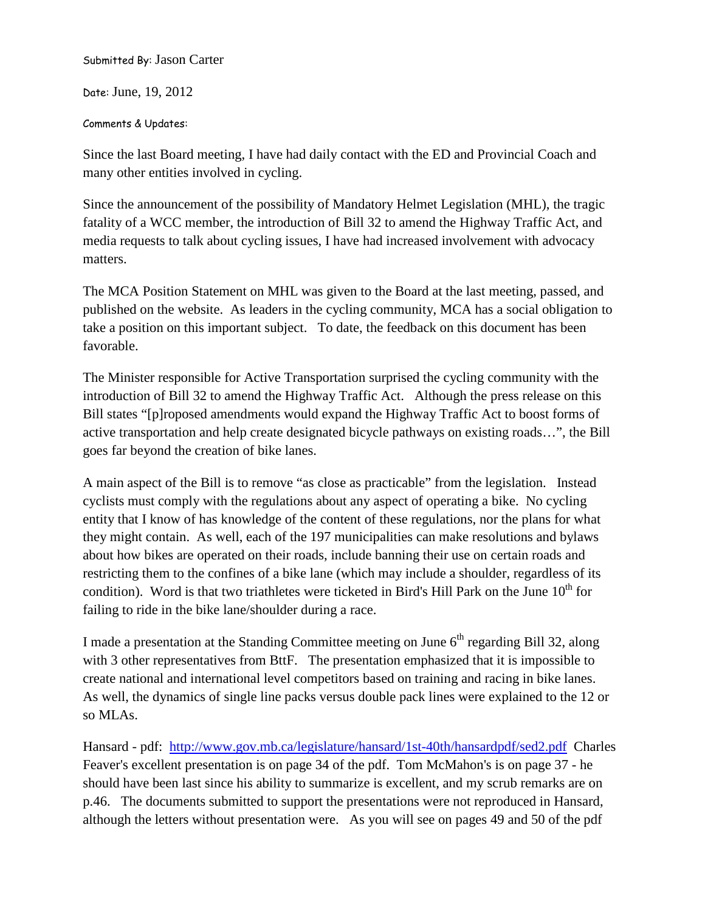Submitted By: Jason Carter

Date: June, 19, 2012

Comments & Updates:

Since the last Board meeting, I have had daily contact with the ED and Provincial Coach and many other entities involved in cycling.

Since the announcement of the possibility of Mandatory Helmet Legislation (MHL), the tragic fatality of a WCC member, the introduction of Bill 32 to amend the Highway Traffic Act, and media requests to talk about cycling issues, I have had increased involvement with advocacy matters.

The MCA Position Statement on MHL was given to the Board at the last meeting, passed, and published on the website. As leaders in the cycling community, MCA has a social obligation to take a position on this important subject. To date, the feedback on this document has been favorable.

The Minister responsible for Active Transportation surprised the cycling community with the introduction of Bill 32 to amend the Highway Traffic Act. Although the press release on this Bill states "[p]roposed amendments would expand the Highway Traffic Act to boost forms of active transportation and help create designated bicycle pathways on existing roads…", the Bill goes far beyond the creation of bike lanes.

A main aspect of the Bill is to remove "as close as practicable" from the legislation. Instead cyclists must comply with the regulations about any aspect of operating a bike. No cycling entity that I know of has knowledge of the content of these regulations, nor the plans for what they might contain. As well, each of the 197 municipalities can make resolutions and bylaws about how bikes are operated on their roads, include banning their use on certain roads and restricting them to the confines of a bike lane (which may include a shoulder, regardless of its condition). Word is that two triathletes were ticketed in Bird's Hill Park on the June  $10^{th}$  for failing to ride in the bike lane/shoulder during a race.

I made a presentation at the Standing Committee meeting on June 6<sup>th</sup> regarding Bill 32, along with 3 other representatives from BttF. The presentation emphasized that it is impossible to create national and international level competitors based on training and racing in bike lanes. As well, the dynamics of single line packs versus double pack lines were explained to the 12 or so MLAs.

Hansard - pdf: <http://www.gov.mb.ca/legislature/hansard/1st-40th/hansardpdf/sed2.pdf>Charles Feaver's excellent presentation is on page 34 of the pdf. Tom McMahon's is on page 37 - he should have been last since his ability to summarize is excellent, and my scrub remarks are on p.46. The documents submitted to support the presentations were not reproduced in Hansard, although the letters without presentation were. As you will see on pages 49 and 50 of the pdf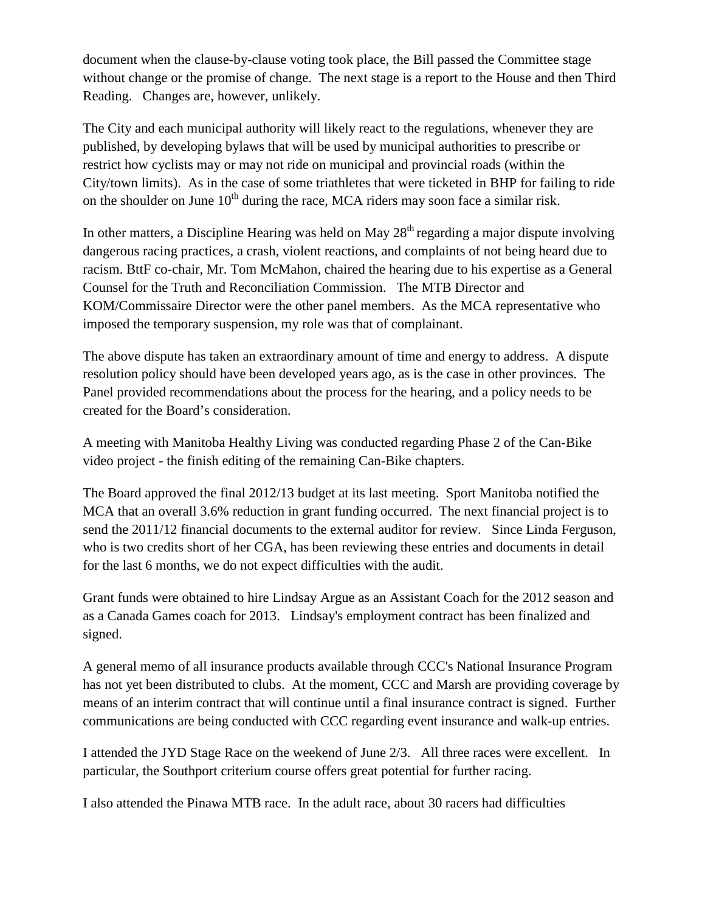document when the clause-by-clause voting took place, the Bill passed the Committee stage without change or the promise of change. The next stage is a report to the House and then Third Reading. Changes are, however, unlikely.

The City and each municipal authority will likely react to the regulations, whenever they are published, by developing bylaws that will be used by municipal authorities to prescribe or restrict how cyclists may or may not ride on municipal and provincial roads (within the City/town limits). As in the case of some triathletes that were ticketed in BHP for failing to ride on the shoulder on June  $10<sup>th</sup>$  during the race, MCA riders may soon face a similar risk.

In other matters, a Discipline Hearing was held on May  $28<sup>th</sup>$  regarding a major dispute involving dangerous racing practices, a crash, violent reactions, and complaints of not being heard due to racism. BttF co-chair, Mr. Tom McMahon, chaired the hearing due to his expertise as a General Counsel for the Truth and Reconciliation Commission. The MTB Director and KOM/Commissaire Director were the other panel members. As the MCA representative who imposed the temporary suspension, my role was that of complainant.

The above dispute has taken an extraordinary amount of time and energy to address. A dispute resolution policy should have been developed years ago, as is the case in other provinces. The Panel provided recommendations about the process for the hearing, and a policy needs to be created for the Board's consideration.

A meeting with Manitoba Healthy Living was conducted regarding Phase 2 of the Can-Bike video project - the finish editing of the remaining Can-Bike chapters.

The Board approved the final 2012/13 budget at its last meeting. Sport Manitoba notified the MCA that an overall 3.6% reduction in grant funding occurred. The next financial project is to send the 2011/12 financial documents to the external auditor for review. Since Linda Ferguson, who is two credits short of her CGA, has been reviewing these entries and documents in detail for the last 6 months, we do not expect difficulties with the audit.

Grant funds were obtained to hire Lindsay Argue as an Assistant Coach for the 2012 season and as a Canada Games coach for 2013. Lindsay's employment contract has been finalized and signed.

A general memo of all insurance products available through CCC's National Insurance Program has not yet been distributed to clubs. At the moment, CCC and Marsh are providing coverage by means of an interim contract that will continue until a final insurance contract is signed. Further communications are being conducted with CCC regarding event insurance and walk-up entries.

I attended the JYD Stage Race on the weekend of June 2/3. All three races were excellent. In particular, the Southport criterium course offers great potential for further racing.

I also attended the Pinawa MTB race. In the adult race, about 30 racers had difficulties